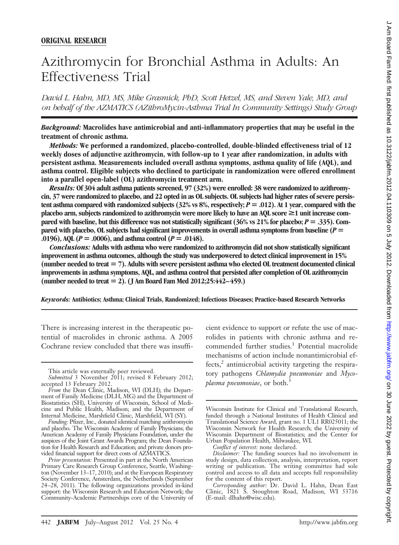# Azithromycin for Bronchial Asthma in Adults: An Effectiveness Trial

*David L. Hahn, MD, MS, Mike Grasmick, PhD, Scott Hetzel, MS, and Steven Yale, MD, and on behalf of the AZMATICS (AZithroMycin-Asthma Trial In Community Settings) Study Group*

*Background:* **Macrolides have antimicrobial and anti-inflammatory properties that may be useful in the treatment of chronic asthma.**

*Methods:* **We performed a randomized, placebo-controlled, double-blinded effectiveness trial of 12 weekly doses of adjunctive azithromycin, with follow-up to 1 year after randomization, in adults with persistent asthma. Measurements included overall asthma symptoms, asthma quality of life (AQL), and asthma control. Eligible subjects who declined to participate in randomization were offered enrollment into a parallel open-label (OL) azithromycin treatment arm.**

*Results:* **Of 304 adult asthma patients screened, 97 (32%) were enrolled: 38 were randomized to azithromycin, 37 were randomized to placebo, and 22 opted in as OL subjects. OL subjects had higher rates of severe persistent asthma compared with randomized subjects (32% vs 8%, respectively;**  $P = .012$ ). At 1 year, compared with the **placebo arm, subjects randomized to azithromycin were more likely to have an AQL score ≥1 unit increase compared with baseline, but this difference was not statistically significant (36% vs 21% for placebo;** *P* **.335). Compared with placebo, OL subjects had significant improvements in overall asthma symptoms from baseline (***P* **.0196), AQL (** $P = .0006$ **), and asthma control (** $P = .0148$ **).** 

*Conclusions:* **Adults with asthma who were randomized to azithromycin did not show statistically significant improvement in asthma outcomes, although the study was underpowered to detect clinical improvement in 15% (number needed to treat 7). Adults with severe persistent asthma who elected OL treatment documented clinical improvements in asthma symptoms, AQL, and asthma control that persisted after completion of OL azithromycin (number needed to treat 2). (J Am Board Fam Med 2012;25:442–459.)**

*Keywords:* **Antibiotics; Asthma; Clinical Trials, Randomized; Infectious Diseases; Practice-based Research Networks**

There is increasing interest in the therapeutic potential of macrolides in chronic asthma. A 2005 Cochrane review concluded that there was insuffi-

cient evidence to support or refute the use of macrolides in patients with chronic asthma and recommended further studies.<sup>1</sup> Potential macrolide mechanisms of action include nonantimicrobial ef $fects<sup>2</sup>$  antimicrobial activity targeting the respiratory pathogens *Chlamydia pneumoniae* and *Mycoplasma pneumoniae*, or both.<sup>3</sup>

This article was externally peer reviewed.

*Submitted* 3 November 2011; revised 8 February 2012; accepted 13 February 2012.

*From* the Dean Clinic, Madison, WI (DLH); the Department of Family Medicine (DLH, MG) and the Department of Biostatistics (SH), University of Wisconsin, School of Medicine and Public Health, Madison; and the Department of Internal Medicine, Marshfield Clinic, Marshfield, WI (SY).

*Funding:* Pfizer, Inc., donated identical matching azithromycin and placebo. The Wisconsin Academy of Family Physicians; the American Academy of Family Physicians Foundation, under the auspices of the Joint Grant Awards Program; the Dean Foundation for Health Research and Education; and private donors provided financial support for direct costs of AZMATICS.

*Prior presentation:* Presented in part at the North American Primary Care Research Group Conference, Seattle, Washington (November 13–17, 2010); and at the European Respiratory Society Conference, Amsterdam, the Netherlands (September 24 –28, 2011). The following organizations provided in-kind support: the Wisconsin Research and Education Network; the Community-Academic Partnerships core of the University of

Wisconsin Institute for Clinical and Translational Research, funded through a National Institutes of Health Clinical and Translational Science Award, grant no. 1 UL1 RR025011; the Wisconsin Network for Health Research; the University of Wisconsin Department of Biostatistics; and the Center for Urban Population Health, Milwaukee, WI.

*Conflict of interest:* none declared.

*Disclaimer:* The funding sources had no involvement in study design, data collection, analysis, interpretation, report writing or publication. The writing committee had sole control and access to all data and accepts full responsibility for the content of this report.

*Corresponding author:* Dr. David L. Hahn, Dean East Clinic, 1821 S. Stoughton Road, Madison, WI 53716 (E-mail: dlhahn@wisc.edu).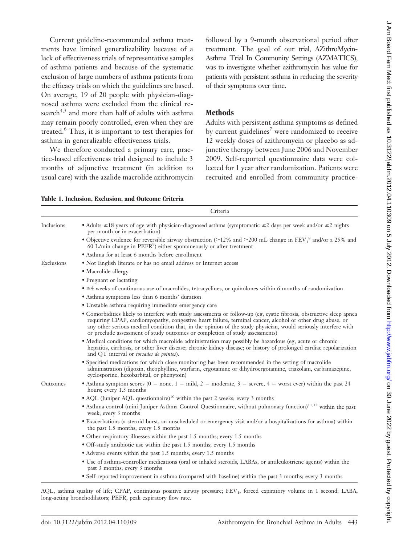Current guideline-recommended asthma treatments have limited generalizability because of a lack of effectiveness trials of representative samples of asthma patients and because of the systematic exclusion of large numbers of asthma patients from the efficacy trials on which the guidelines are based. On average, 19 of 20 people with physician-diagnosed asthma were excluded from the clinical research<sup>4,5</sup> and more than half of adults with asthma may remain poorly controlled, even when they are treated.6 Thus, it is important to test therapies for asthma in generalizable effectiveness trials.

We therefore conducted a primary care, practice-based effectiveness trial designed to include 3 months of adjunctive treatment (in addition to usual care) with the azalide macrolide azithromycin

followed by a 9-month observational period after treatment. The goal of our trial, AZithroMycin-Asthma Trial In Community Settings (AZMATICS), was to investigate whether azithromycin has value for patients with persistent asthma in reducing the severity of their symptoms over time.

## **Methods**

Adults with persistent asthma symptoms as defined by current guidelines<sup>7</sup> were randomized to receive 12 weekly doses of azithromycin or placebo as adjunctive therapy between June 2006 and November 2009. Self-reported questionnaire data were collected for 1 year after randomization. Patients were recruited and enrolled from community practice-

|            | Criteria                                                                                                                                                                                                                                                                                                                                                                                                                               |
|------------|----------------------------------------------------------------------------------------------------------------------------------------------------------------------------------------------------------------------------------------------------------------------------------------------------------------------------------------------------------------------------------------------------------------------------------------|
| Inclusions | • Adults $\geq$ 18 years of age with physician-diagnosed asthma (symptomatic $\geq$ 2 days per week and/or $\geq$ 2 nights<br>per month or in exacerbation)                                                                                                                                                                                                                                                                            |
|            | • Objective evidence for reversible airway obstruction ( $\geq$ 12% and $\geq$ 200 mL change in FEV <sub>1</sub> <sup>8</sup> and/or a 25% and<br>60 L/min change in PEFR <sup>9</sup> ) either spontaneously or after treatment                                                                                                                                                                                                       |
|            | • Asthma for at least 6 months before enrollment                                                                                                                                                                                                                                                                                                                                                                                       |
| Exclusions | • Not English literate or has no email address or Internet access                                                                                                                                                                                                                                                                                                                                                                      |
|            | • Macrolide allergy                                                                                                                                                                                                                                                                                                                                                                                                                    |
|            | • Pregnant or lactating                                                                                                                                                                                                                                                                                                                                                                                                                |
|            | $\bullet \geq 4$ weeks of continuous use of macrolides, tetracyclines, or quinolones within 6 months of randomization                                                                                                                                                                                                                                                                                                                  |
|            | • Asthma symptoms less than 6 months' duration                                                                                                                                                                                                                                                                                                                                                                                         |
|            | • Unstable asthma requiring immediate emergency care                                                                                                                                                                                                                                                                                                                                                                                   |
|            | • Comorbidities likely to interfere with study assessments or follow-up (eg, cystic fibrosis, obstructive sleep apnea<br>requiring CPAP, cardiomyopathy, congestive heart failure, terminal cancer, alcohol or other drug abuse, or<br>any other serious medical condition that, in the opinion of the study physician, would seriously interfere with<br>or preclude assessment of study outcomes or completion of study assessments) |
|            | • Medical conditions for which macrolide administration may possibly be hazardous (eg, acute or chronic<br>hepatitis, cirrhosis, or other liver disease; chronic kidney disease; or history of prolonged cardiac repolarization<br>and QT interval or <i>torsades de pointes</i> ).                                                                                                                                                    |
|            | • Specified medications for which close monitoring has been recommended in the setting of macrolide<br>administration (digoxin, theophylline, warfarin, ergotamine or dihydroergotamine, triazolam, carbamazepine,<br>cyclosporine, hexobarbital, or phenytoin)                                                                                                                                                                        |
| Outcomes   | • Asthma symptom scores (0 = none, 1 = mild, 2 = moderate, 3 = severe, 4 = worst ever) within the past 24<br>hours; every 1.5 months                                                                                                                                                                                                                                                                                                   |
|            | • AQL (Juniper AQL questionnaire) <sup>10</sup> within the past 2 weeks; every 3 months                                                                                                                                                                                                                                                                                                                                                |
|            | • Asthma control (mini-Juniper Asthma Control Questionnaire, without pulmonary function) <sup>11,12</sup> within the past<br>week; every 3 months                                                                                                                                                                                                                                                                                      |
|            | • Exacerbations (a steroid burst, an unscheduled or emergency visit and/or a hospitalizations for asthma) within<br>the past 1.5 months; every 1.5 months                                                                                                                                                                                                                                                                              |
|            | • Other respiratory illnesses within the past 1.5 months; every 1.5 months                                                                                                                                                                                                                                                                                                                                                             |
|            | • Off-study antibiotic use within the past 1.5 months; every 1.5 months                                                                                                                                                                                                                                                                                                                                                                |
|            | • Adverse events within the past 1.5 months; every 1.5 months                                                                                                                                                                                                                                                                                                                                                                          |
|            | • Use of asthma-controller medications (oral or inhaled steroids, LABAs, or antileukotriene agents) within the<br>past 3 months; every 3 months                                                                                                                                                                                                                                                                                        |
|            | • Self-reported improvement in asthma (compared with baseline) within the past 3 months; every 3 months                                                                                                                                                                                                                                                                                                                                |

**Table 1. Inclusion, Exclusion, and Outcome Criteria**

AQL, asthma quality of life; CPAP, continuous positive airway pressure; FEV<sub>1</sub>, forced expiratory volume in 1 second; LABA, long-acting bronchodilators; PEFR, peak expiratory flow rate.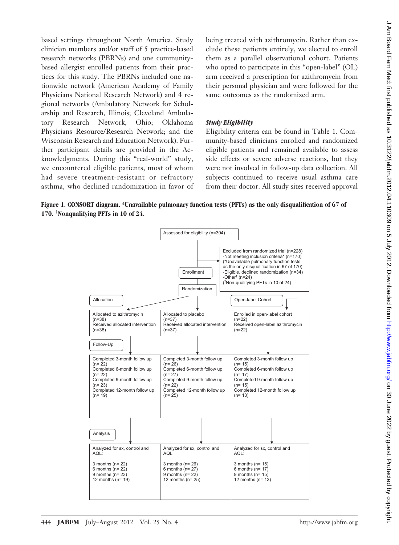based settings throughout North America. Study clinician members and/or staff of 5 practice-based research networks (PBRNs) and one communitybased allergist enrolled patients from their practices for this study. The PBRNs included one nationwide network (American Academy of Family Physicians National Research Network) and 4 regional networks (Ambulatory Network for Scholarship and Research, Illinois; Cleveland Ambulatory Research Network, Ohio; Oklahoma Physicians Resource/Research Network; and the Wisconsin Research and Education Network). Further participant details are provided in the Acknowledgments. During this "real-world" study, we encountered eligible patients, most of whom had severe treatment-resistant or refractory asthma, who declined randomization in favor of being treated with azithromycin. Rather than exclude these patients entirely, we elected to enroll them as a parallel observational cohort. Patients who opted to participate in this "open-label" (OL) arm received a prescription for azithromycin from their personal physician and were followed for the same outcomes as the randomized arm.

#### *Study Eligibility*

Eligibility criteria can be found in Table 1. Community-based clinicians enrolled and randomized eligible patients and remained available to assess side effects or severe adverse reactions, but they were not involved in follow-up data collection. All subjects continued to receive usual asthma care from their doctor. All study sites received approval



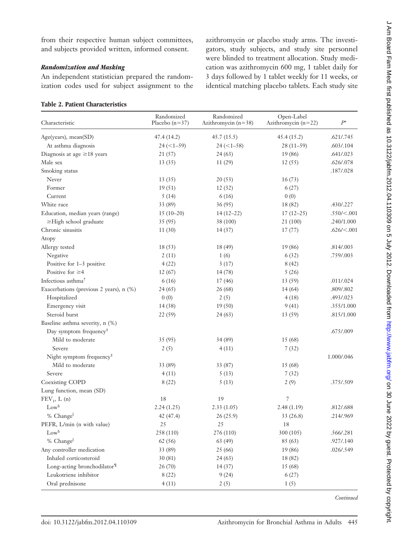from their respective human subject committees, and subjects provided written, informed consent.

#### *Randomization and Masking*

An independent statistician prepared the randomization codes used for subject assignment to the

#### **Table 2. Patient Characteristics**

azithromycin or placebo study arms. The investigators, study subjects, and study site personnel were blinded to treatment allocation. Study medication was azithromycin 600 mg, 1 tablet daily for 3 days followed by 1 tablet weekly for 11 weeks, or identical matching placebo tablets. Each study site

| Characteristic                          | Randomized<br>Placebo $(n=37)$ | Randomized<br>Azithromycin $(n=38)$ | Open-Label<br>Azithromycin $(n=22)$ | $P^*$         |
|-----------------------------------------|--------------------------------|-------------------------------------|-------------------------------------|---------------|
| Age(years), mean(SD)                    | 47.4(14.2)                     | 45.7(15.5)                          | 45.4(15.2)                          | .621/.745     |
| At asthma diagnosis                     | $24 (<1 - 59)$                 | $24 (<1 - 58)$                      | $28(11-59)$                         | .603/.104     |
| Diagnosis at age $\geq$ 18 years        | 21(57)                         | 24(63)                              | 19 (86)                             | .641/.023     |
| Male sex                                | 13(35)                         | 11(29)                              | 12(55)                              | .626/.078     |
| Smoking status                          |                                |                                     |                                     | .187/.028     |
| Never                                   | 13(35)                         | 20(53)                              | 16(73)                              |               |
| Former                                  | 19(51)                         | 12(32)                              | 6(27)                               |               |
| Current                                 | 5(14)                          | 6(16)                               | 0(0)                                |               |
| White race                              | 33 (89)                        | 36(95)                              | 18 (82)                             | .430/.227     |
| Education, median years (range)         | $15(10-20)$                    | $14(12-22)$                         | $17(12-25)$                         | .550/<.001    |
| ≥High school graduate                   | 35 (95)                        | 38 (100)                            | 21(100)                             | .240/1.000    |
| Chronic sinusitis                       | 11(30)                         | 14(37)                              | 17(77)                              | .626 / < .001 |
| Atopy                                   |                                |                                     |                                     |               |
| Allergy tested                          | 18(53)                         | 18 (49)                             | 19(86)                              | .814/.003     |
| Negative                                | 2(11)                          | 1(6)                                | 6(32)                               | .759/.003     |
| Positive for 1-3 positive               | 4(22)                          | 3(17)                               | 8(42)                               |               |
| Positive for $\geq 4$                   | 12(67)                         | 14(78)                              | 5(26)                               |               |
| Infectious asthma <sup>+</sup>          | 6(16)                          | 17(46)                              | 13 (59)                             | .011/.024     |
| Exacerbations (previous 2 years), n (%) | 24(65)                         | 26(68)                              | 14(64)                              | .809/.802     |
| Hospitalized                            | 0(0)                           | 2(5)                                | 4(18)                               | .493/.023     |
| Emergency visit                         | 14(38)                         | 19(50)                              | 9(41)                               | .355/1.000    |
| Steroid burst                           | 22 (59)                        | 24(63)                              | 13 (59)                             | .815/1.000    |
| Baseline asthma severity, n (%)         |                                |                                     |                                     |               |
| Day symptom frequency <sup>#</sup>      |                                |                                     |                                     | .675/.009     |
| Mild to moderate                        | 35 (95)                        | 34(89)                              | 15 (68)                             |               |
| Severe                                  | 2(5)                           | 4(11)                               | 7(32)                               |               |
| Night symptom frequency <sup>#</sup>    |                                |                                     |                                     | 1.000/.046    |
| Mild to moderate                        | 33 (89)                        | 33 (87)                             | 15 (68)                             |               |
| Severe                                  | 4(11)                          | 5(13)                               | 7(32)                               |               |
| Coexisting COPD                         | 8(22)                          | 5(13)                               | 2(9)                                | .375/.509     |
| Lung function, mean (SD)                |                                |                                     |                                     |               |
| $FEV1$ , L (n)                          | 18                             | 19                                  | 7                                   |               |
| $\mathrm{Low}^{\S}$                     | 2.24(1.25)                     | 2.33(1.05)                          | 2.48(1.19)                          | .812/.688     |
| % Change                                | 42 (47.4)                      | 26 (25.9)                           | 33 (26.8)                           | .214/.969     |
| PEFR, L/min (n with value)              | 25                             | 25                                  | 18                                  |               |
| $Low^{\$}$                              | 258 (110)                      | 276 (110)                           | 300 (105)                           | .566/.281     |
| % Change                                | 62 (56)                        | 63 (49)                             | 85 (63)                             | .927/.140     |
| Any controller medication               | 33 (89)                        | 25 (66)                             | 19 (86)                             | .026/.549     |
| Inhaled corticosteroid                  | 30(81)                         | 24(63)                              | 18 (82)                             |               |
| Long-acting bronchodilator <sup>¶</sup> | 26(70)                         | 14(37)                              | 15 (68)                             |               |
| Leukotriene inhibitor                   | 8(22)                          | 9(24)                               | 6(27)                               |               |
| Oral prednisone                         | 4(11)                          | 2(5)                                | 1(5)                                |               |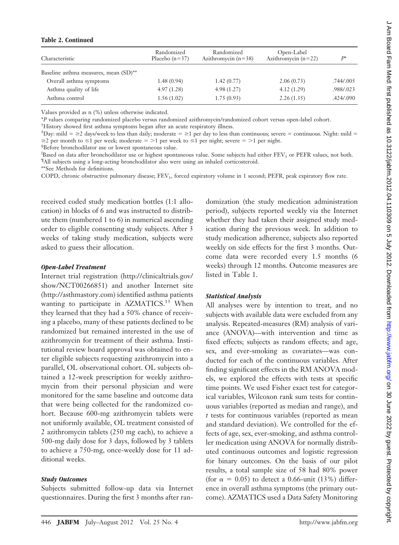#### **Table 2. Continued**

| Characteristic                        | Randomized<br>Placebo $(n=37)$ | Randomized<br>Azithromycin $(n=38)$ | Open-Label<br>Azithromycin $(n=22)$ | $P^*$     |
|---------------------------------------|--------------------------------|-------------------------------------|-------------------------------------|-----------|
| Baseline asthma measures, mean (SD)** |                                |                                     |                                     |           |
| Overall asthma symptoms               | 1.48(0.94)                     | 1.42(0.77)                          | 2.06(0.73)                          | .744/.005 |
| Asthma quality of life                | 4.97(1.28)                     | 4.98(1.27)                          | 4.12(1.29)                          | .988/.023 |
| Asthma control                        | 1.56(1.02)                     | 1.75(0.93)                          | 2.26(1.35)                          | .424/.090 |

Values provided as n (%) unless otherwise indicated.

\**P* values comparing randomized placebo versus randomized azithromycin/randomized cohort versus open-label cohort.

† History showed first asthma symptoms began after an acute respiratory illness.

 $Day: \text{mild} = \geq 2$  days/week to less than daily; moderate  $= \geq 1$  per day to less than continuous; severe  $=$  continuous. Night: mild  $=$  $\geq$  per month to  $\leq$  1 per week; moderate  $=$  >1 per week to  $\leq$  1 per night; severe  $=$  >1 per night.

§ Before bronchodilator use or lowest spontaneous value.

Based on data after bronchodilator use or highest spontaneous value. Some subjects had either FEV<sub>1</sub> or PEFR values, not both. ¶ All subjects using a long-acting bronchodilator also were using an inhaled corticosteroid.

\*\*See Methods for definitions.

COPD, chronic obstructive pulmonary disease; FEV<sub>1</sub>, forced expiratory volume in 1 second; PEFR, peak expiratory flow rate.

received coded study medication bottles (1:1 allocation) in blocks of 6 and was instructed to distribute them (numbered 1 to 6) in numerical ascending order to eligible consenting study subjects. After 3 weeks of taking study medication, subjects were asked to guess their allocation.

#### *Open-Label Treatment*

Internet trial registration (http://clinicaltrials.gov/ show/NCT00266851) and another Internet site (http://asthmastory.com) identified asthma patients wanting to participate in AZMATICS.<sup>13</sup> When they learned that they had a 50% chance of receiving a placebo, many of these patients declined to be randomized but remained interested in the use of azithromycin for treatment of their asthma. Institutional review board approval was obtained to enter eligible subjects requesting azithromycin into a parallel, OL observational cohort. OL subjects obtained a 12-week prescription for weekly azithromycin from their personal physician and were monitored for the same baseline and outcome data that were being collected for the randomized cohort. Because 600-mg azithromycin tablets were not uniformly available, OL treatment consisted of 2 azithromycin tablets (250 mg each), to achieve a 500-mg daily dose for 3 days, followed by 3 tablets to achieve a 750-mg, once-weekly dose for 11 additional weeks.

#### *Study Outcomes*

Subjects submitted follow-up data via Internet questionnaires. During the first 3 months after randomization (the study medication administration period), subjects reported weekly via the Internet whether they had taken their assigned study medication during the previous week. In addition to study medication adherence, subjects also reported weekly on side effects for the first 3 months. Outcome data were recorded every 1.5 months (6 weeks) through 12 months. Outcome measures are listed in Table 1.

#### *Statistical Analysis*

All analyses were by intention to treat, and no subjects with available data were excluded from any analysis. Repeated-measures (RM) analysis of variance (ANOVA)—with intervention and time as fixed effects; subjects as random effects; and age, sex, and ever-smoking as covariates—was conducted for each of the continuous variables. After finding significant effects in the RM ANOVA models, we explored the effects with tests at specific time points. We used Fisher exact test for categorical variables, Wilcoxon rank sum tests for continuous variables (reported as median and range), and *t* tests for continuous variables (reported as mean and standard deviation). We controlled for the effects of age, sex, ever-smoking, and asthma controller medication using ANOVA for normally distributed continuous outcomes and logistic regression for binary outcomes. On the basis of our pilot results, a total sample size of 58 had 80% power (for  $\alpha = 0.05$ ) to detect a 0.66-unit (13%) difference in overall asthma symptoms (the primary outcome). AZMATICS used a Data Safety Monitoring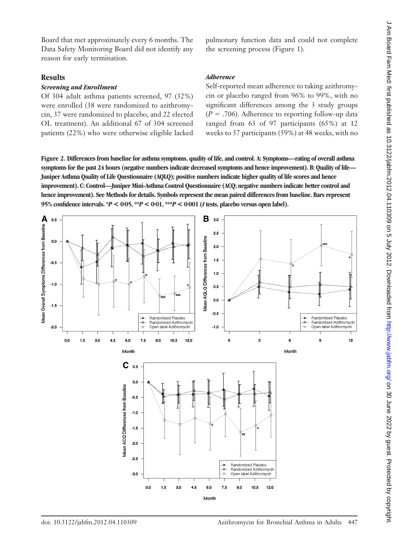Board that met approximately every 6 months. The Data Safety Monitoring Board did not identify any reason for early termination.

#### **Results**

#### *Screening and Enrollment*

Of 304 adult asthma patients screened, 97 (32%) were enrolled (38 were randomized to azithromycin, 37 were randomized to placebo, and 22 elected OL treatment). An additional 67 of 304 screened patients (22%) who were otherwise eligible lacked pulmonary function data and could not complete the screening process (Figure 1).

#### *Adherence*

Self-reported mean adherence to taking azithromycin or placebo ranged from 96% to 99%, with no significant differences among the 3 study groups  $(P = .706)$ . Adherence to reporting follow-up data ranged from 63 of 97 participants (65%) at 12 weeks to 57 participants (59%) at 48 weeks, with no

**Figure 2. Differences from baseline for asthma symptoms, quality of life, and control. A: Symptoms—rating of overall asthma symptoms for the past 24 hours (negative numbers indicate decreased symptoms and hence improvement). B: Quality of life— Juniper Asthma Quality of Life Questionnaire (AQLQ); positive numbers indicate higher quality of life scores and hence improvement). C: Control—Juniper Mini-Asthma Control Questionnaire (ACQ; negative numbers indicate better control and hence improvement). See Methods for details. Symbols represent the mean paired differences from baseline. Bars represent 95% confidence intervals.**  $*P < 0.05$ **,**  $*P < 0.01$ **,**  $*P < 0.001$  **(***t* **tests, placebo versus open label).** 

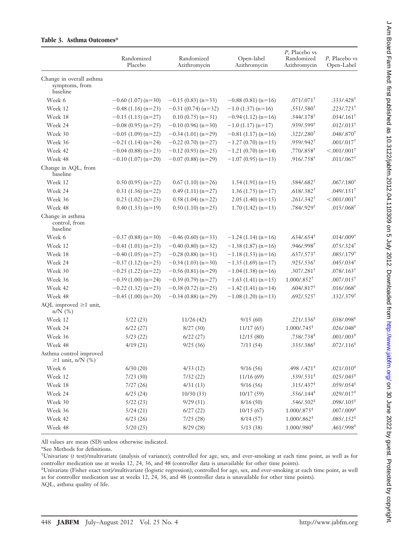|                                                        | Randomized<br>Placebo | Randomized<br>Azithromycin | Open-label<br>Azithromycin | P, Placebo vs<br>Randomized<br>Azithromycin | P, Placebo vs<br>Open-Label |
|--------------------------------------------------------|-----------------------|----------------------------|----------------------------|---------------------------------------------|-----------------------------|
| Change in overall asthma<br>symptoms, from<br>baseline |                       |                            |                            |                                             |                             |
| Week 6                                                 | $-0.60$ (1.07) (n=30) | $-0.15(0.83)(n=33)$        | $-0.88(0.81)(n=16)$        | $.071/.071$ <sup>+</sup>                    | $.333/.428$ <sup>+</sup>    |
| Week 12                                                | $-0.48(1.16)(n=23)$   | $-0.31$ ((0.74) (n=32)     | $-1.0$ (1.37) (n=16)       | .551/.580 <sup>†</sup>                      | $.223/.723$ <sup>+</sup>    |
| Week 18                                                | $-0.15(1.13)(n=27)$   | $0.10(0.75)(n=31)$         | $-0.94(1.12)(n=16)$        | .344/.178 <sup>†</sup>                      | $.034/0.161$ <sup>+</sup>   |
| Week 24                                                | $-0.08(0.95)(n=25)$   | $-0.10(0.96)(n=30)$        | $-1.0$ (1.17) (n=17)       | $.939/0.599$ <sup>+</sup>                   | $.012/.013$ <sup>+</sup>    |
| Week 30                                                | $-0.05$ (1.09) (n=22) | $-0.34(1.01)(n=29)$        | $-0.81(1.17)(n=16)$        | .322/.280 <sup>†</sup>                      | $.048/0.870$ <sup>+</sup>   |
| Week 36                                                | $-0.21$ (1.14) (n=24) | $-0.22$ (0.70) (n=27)      | $-1.27(0.70)(n=15)$        | $.959/0.942^+$                              | $.001/.017$ <sup>+</sup>    |
| Week 42                                                | $-0.04(0.88)(n=23)$   | $-0.12(0.93)(n=25)$        | $-1.21(0.70)(n=14)$        | .770/.858 <sup>†</sup>                      | $< .001/.001$ <sup>+</sup>  |
| Week 48                                                | $-0.10$ (1.07) (n=20) | $-0.07(0.88)(n=29)$        | $-1.07(0.95)(n=13)$        | $.916 / .758$ <sup>†</sup>                  | $.011/.067$ <sup>+</sup>    |
| Change in AQL, from<br>baseline                        |                       |                            |                            |                                             |                             |
| Week 12                                                | $0.50(0.95)(n=22)$    | $0.67(1.10)(n=26)$         | $1.54(1.91)(n=15)$         | $.584/.682$ <sup>†</sup>                    | $.067/0.180$ <sup>†</sup>   |
| Week 24                                                | $0.31(1.36)(n=22)$    | $0.49(1.11)(n=27)$         | $1.36(1.75)(n=17)$         | .618/.382 <sup>†</sup>                      | $.049/0.151$ <sup>+</sup>   |
| Week 36                                                | $0.23(1.02)(n=23)$    | $0.58(1.04)(n=22)$         | $2.05(1.40)(n=15)$         | .261/.342 <sup>†</sup>                      | $< .001/.001$ <sup>+</sup>  |
| Week 48                                                | $0.40(1.33)(n=19)$    | $0.50(1.10)(n=25)$         | $1.70(1.42)(n=13)$         | $.784/.929$ <sup>†</sup>                    | $.015 / .068$ <sup>+</sup>  |
| Change in asthma<br>control, from<br>baseline          |                       |                            |                            |                                             |                             |
| Week 6                                                 | $-0.37(0.88)(n=30)$   | $-0.46(0.60)(n=33)$        | $-1.24(1.14)(n=16)$        | $.634/.654$ <sup>†</sup>                    | $.014/0.009$ <sup>+</sup>   |
| Week 12                                                | $-0.41(1.01)(n=23)$   | $-0.40(0.80)(n=32)$        | $-1.38(1.87)(n=16)$        | .946/.998 <sup>†</sup>                      | $.075/0.324$ <sup>†</sup>   |
| Week 18                                                | $-0.40$ (1.05) (n=27) | $-0.28(0.88)(n=31)$        | $-1.18(1.53)(n=16)$        | $.637 / .573$ <sup>+</sup>                  | $.085/.179$ <sup>†</sup>    |
| Week 24                                                | $-0.37(1.12)(n=25)$   | $-0.34(1.03)(n=30)$        | $-1.35$ (1.69) (n=17)      | $.925 / .536$ <sup>†</sup>                  | $.045/.034$ <sup>+</sup>    |
| Week 30                                                | $-0.25$ (1.22) (n=22) | $-0.56(0.81)(n=29)$        | $-1.04(1.38)(n=16)$        | $.307/.281$ <sup>+</sup>                    | $.078/0.163$ <sup>+</sup>   |
| Week 36                                                | $-0.39(1.00)(n=24)$   | $-0.39(0.79)(n=27)$        | $-1.63$ (1.41) (n=15)      | $1.000 \times 852^{+}$                      | $.007/0.15$ <sup>+</sup>    |
| Week 42                                                | $-0.22$ (1.32) (n=23) | $-0.38(0.72)(n=25)$        | $-1.42$ (1.41) (n=14)      | $.604/.817$ <sup>+</sup>                    | $.016/0.068$ <sup>+</sup>   |
| Week 48                                                | $-0.45$ (1.00) (n=20) | $-0.34(0.88)(n=29)$        | $-1.08(1.20)(n=13)$        | $.692/.525$ <sup>+</sup>                    | .132/.379 <sup>†</sup>      |
| AQL improved $\geq$ 1 unit,<br>$n/N$ (%)               |                       |                            |                            |                                             |                             |
| Week 12                                                | 5/22(23)              | 11/26(42)                  | 9/15(60)                   | .221/.136 <sup>‡</sup>                      | $.038 / .098$ <sup>#</sup>  |
| Week 24                                                | 6/22(27)              | 8/27(30)                   | 11/17(65)                  | $1.000$ /.745 <sup>‡</sup>                  | .026/.048 <sup>‡</sup>      |
| Week 36                                                | 5/23(22)              | 6/22(27)                   | 12/15(80)                  | .738/.738 <sup>‡</sup>                      | .001/.003 <sup>‡</sup>      |
| Week 48                                                | 4/19(21)              | 9/25(36)                   | 7/13(54)                   | .335/.386 <sup>‡</sup>                      | .072/.116 <sup>‡</sup>      |
| Asthma control improved<br>$\geq$ 1 unit, n/N (%)      |                       |                            |                            |                                             |                             |
| Week 6                                                 | 6/30(20)              | 4/33(12)                   | 9/16(56)                   | $.498 / .421$ <sup>#</sup>                  | .021/.010 <sup>‡</sup>      |
| Week 12                                                | 7/23(30)              | 7/32(22)                   | 11/16(69)                  | .539/.531 <sup>‡</sup>                      | $.025/.045$ <sup>‡</sup>    |
| Week 18                                                | 7/27(26)              | 4/31(13)                   | 9/16(56)                   | .315/.437 <sup>‡</sup>                      | .059/.054 <sup>‡</sup>      |
| Week 24                                                | 6/25(24)              | 10/30(33)                  | 10/17(59)                  | .556/.144 <sup>‡</sup>                      | $.029 / .017$ <sup>‡</sup>  |
| Week 30                                                | 5/22(23)              | 9/29(31)                   | 8/16(50)                   | $.546/.502$ <sup>‡</sup>                    | $.098/.105$ <sup>‡</sup>    |
| Week 36                                                | 5/24(21)              | 6/27(22)                   | 10/15(67)                  | $1.000 \times 875$ <sup>‡</sup>             | $.007/009$ <sup>‡</sup>     |
| Week 42                                                | 6/23(26)              | 7/25(28)                   | 8/14(57)                   | $1.000/.862$ <sup>‡</sup>                   | .085/.152 <sup>‡</sup>      |
| Week 48                                                | 5/20(25)              | 8/29 (28)                  | 5/13(38)                   | $1.000$ /.980 <sup>‡</sup>                  | .461/.998 <sup>‡</sup>      |

#### **Table 3. Asthma Outcomes\***

All values are mean (SD) unless otherwise indicated.

\*See Methods for definitions.

† Univariate (*t* test)/multivariate (analysis of variance); controlled for age, sex, and ever-smoking at each time point, as well as for controller medication use at weeks 12, 24, 36, and 48 (controller data is unavailable for other time points).

‡ Univariate (Fisher exact test)/multivariate (logistic regression); controlled for age, sex, and ever-smoking at each time point, as well as for controller medication use at weeks 12, 24, 36, and 48 (controller data is unavailable for other time points).

AQL, asthma quality of life.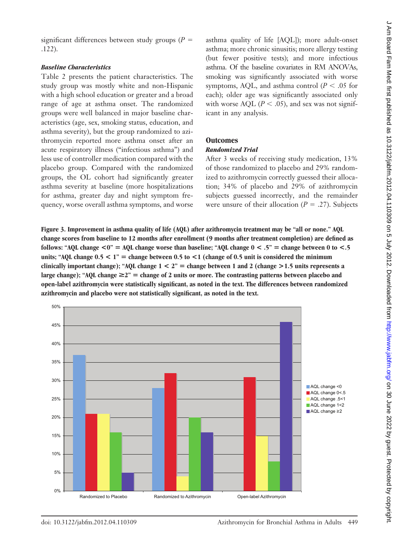## *Baseline Characteristics*

Table 2 presents the patient characteristics. The study group was mostly white and non-Hispanic with a high school education or greater and a broad range of age at asthma onset. The randomized groups were well balanced in major baseline characteristics (age, sex, smoking status, education, and asthma severity), but the group randomized to azithromycin reported more asthma onset after an acute respiratory illness ("infectious asthma") and less use of controller medication compared with the placebo group. Compared with the randomized groups, the OL cohort had significantly greater asthma severity at baseline (more hospitalizations for asthma, greater day and night symptom frequency, worse overall asthma symptoms, and worse asthma quality of life [AQL]); more adult-onset asthma; more chronic sinusitis; more allergy testing (but fewer positive tests); and more infectious asthma. Of the baseline covariates in RM ANOVAs, smoking was significantly associated with worse symptoms, AQL, and asthma control ( $P < .05$  for each); older age was significantly associated only with worse AQL ( $P < .05$ ), and sex was not significant in any analysis.

# **Outcomes**

## *Randomized Trial*

After 3 weeks of receiving study medication, 13% of those randomized to placebo and 29% randomized to azithromycin correctly guessed their allocation; 34% of placebo and 29% of azithromycin subjects guessed incorrectly, and the remainder were unsure of their allocation  $(P = .27)$ . Subjects

**Figure 3. Improvement in asthma quality of life (AQL) after azithromycin treatment may be "all or none." AQL change scores from baseline to 12 months after enrollment (9 months after treatment completion) are defined as follows:** "AQL change  $\langle 0 \rangle =$  AQL change worse than baseline; "AQL change  $0 \le 0.5$ " = change between 0 to  $\langle 0.5 \rangle$ **units; "AQL change**  $0.5 < 1$ **"** = change between 0.5 to  $\lt 1$  (change of 0.5 unit is considered the minimum **clinically important change); "AQL change**  $1 < 2$ **" = change between 1 and 2 (change**  $> 1.5$  **units represents a** large change); "AQL change  $\geq 2$ " = change of 2 units or more. The contrasting patterns between placebo and **open-label azithromycin were statistically significant, as noted in the text. The differences between randomized azithromycin and placebo were not statistically significant, as noted in the text.**

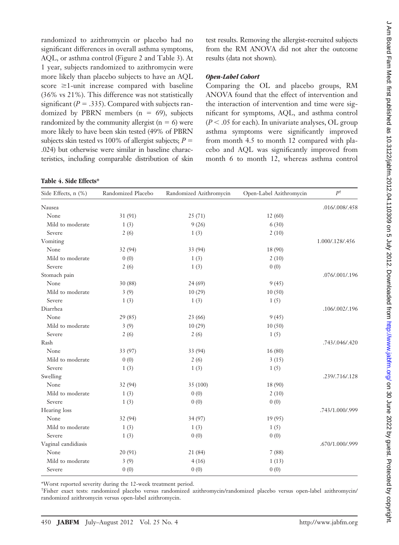randomized to azithromycin or placebo had no significant differences in overall asthma symptoms, AQL, or asthma control (Figure 2 and Table 3). At 1 year, subjects randomized to azithromycin were more likely than placebo subjects to have an AQL score  $\geq$ 1-unit increase compared with baseline (36% vs 21%). This difference was not statistically significant ( $P = .335$ ). Compared with subjects randomized by PBRN members ( $n = 69$ ), subjects randomized by the community allergist  $(n = 6)$  were more likely to have been skin tested (49% of PBRN subjects skin tested vs 100% of allergist subjects;  $P =$ .024) but otherwise were similar in baseline characteristics, including comparable distribution of skin

**Table 4. Side Effects\***

test results. Removing the allergist-recruited subjects from the RM ANOVA did not alter the outcome results (data not shown).

#### *Open-Label Cohort*

Comparing the OL and placebo groups, RM ANOVA found that the effect of intervention and the interaction of intervention and time were significant for symptoms, AQL, and asthma control  $(P < .05$  for each). In univariate analyses, OL group asthma symptoms were significantly improved from month 4.5 to month 12 compared with placebo and AQL was significantly improved from month 6 to month 12, whereas asthma control

| Side Effects, n (%) | Randomized Placebo | Randomized Azithromycin | Open-Label Azithromycin | $P^{\dagger}$   |
|---------------------|--------------------|-------------------------|-------------------------|-----------------|
| Nausea              |                    |                         |                         | .016/.008/.458  |
| None                | 31 (91)            | 25(71)                  | 12(60)                  |                 |
| Mild to moderate    | 1(3)               | 9(26)                   | 6(30)                   |                 |
| Severe              | 2(6)               | 1(3)                    | 2(10)                   |                 |
| Vomiting            |                    |                         |                         | 1.000/.128/.456 |
| None                | 32 (94)            | 33 (94)                 | 18 (90)                 |                 |
| Mild to moderate    | 0(0)               | 1(3)                    | 2(10)                   |                 |
| Severe              | 2(6)               | 1(3)                    | 0(0)                    |                 |
| Stomach pain        |                    |                         |                         | .076/.001/.196  |
| None                | 30 (88)            | 24(69)                  | 9(45)                   |                 |
| Mild to moderate    | 3(9)               | 10(29)                  | 10(50)                  |                 |
| Severe              | 1(3)               | 1(3)                    | 1(5)                    |                 |
| Diarrhea            |                    |                         |                         | .106/.002/.196  |
| None                | 29 (85)            | 23 (66)                 | 9(45)                   |                 |
| Mild to moderate    | 3(9)               | 10(29)                  | 10(50)                  |                 |
| Severe              | 2(6)               | 2(6)                    | 1(5)                    |                 |
| Rash                |                    |                         |                         | .743/.046/.420  |
| None                | 33 (97)            | 33 (94)                 | 16(80)                  |                 |
| Mild to moderate    | 0(0)               | 2(6)                    | 3(15)                   |                 |
| Severe              | 1(3)               | 1(3)                    | 1(5)                    |                 |
| Swelling            |                    |                         |                         | .239/.716/.128  |
| None                | 32 (94)            | 35 (100)                | 18 (90)                 |                 |
| Mild to moderate    | 1(3)               | 0(0)                    | 2(10)                   |                 |
| Severe              | 1(3)               | 0(0)                    | 0(0)                    |                 |
| Hearing loss        |                    |                         |                         | .743/1.000/.999 |
| None                | 32 (94)            | 34(97)                  | 19 (95)                 |                 |
| Mild to moderate    | 1(3)               | 1(3)                    | 1(5)                    |                 |
| Severe              | 1(3)               | 0(0)                    | 0(0)                    |                 |
| Vaginal candidiasis |                    |                         |                         | .670/1.000/.999 |
| None                | 20 (91)            | 21 (84)                 | 7(88)                   |                 |
| Mild to moderate    | 3(9)               | 4(16)                   | 1(13)                   |                 |
| Severe              | 0(0)               | 0(0)                    | 0(0)                    |                 |

\*Worst reported severity during the 12-week treatment period.

† Fisher exact tests: randomized placebo versus randomized azithromycin/randomized placebo versus open-label azithromycin/ randomized azithromycin versus open-label azithromycin.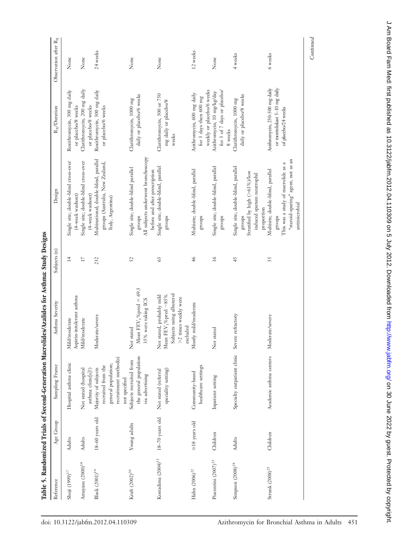|                              |                     |                                                                                                             | TADIE 7. NAHUUUHLEE TITAAS OI SECOIIE ALUU MAA OIHEE ALAH OIHEE KA AH ASTII ASTIINA. OHI OO KA AH A                                  |                |                                                                                                                                          |                                                                                       |                                  |
|------------------------------|---------------------|-------------------------------------------------------------------------------------------------------------|--------------------------------------------------------------------------------------------------------------------------------------|----------------|------------------------------------------------------------------------------------------------------------------------------------------|---------------------------------------------------------------------------------------|----------------------------------|
| Reference                    | Age Group           | Sampling Frame                                                                                              | Asthma Severity                                                                                                                      | Subjects (n)   | Design                                                                                                                                   | R <sub>X</sub> /Duration                                                              | Observation after R <sub>X</sub> |
| Shoji (1999) <sup>17</sup>   | <b>Adults</b>       | Hospital asthma clinic                                                                                      | Aspirin-intolerant asthma<br>Mild/moderate                                                                                           | $\overline{1}$ | Single site; double-blind cross-over<br>(4-week washout)                                                                                 | Roxithromycin, 300 mg daily<br>or placebo/8 weeks                                     | None                             |
| Amayasu $(2000)^{18}\,$      | Adults              | Not stated (hospital<br>asthma clinic[s]?)                                                                  | Mild/moderate                                                                                                                        | 17             | Single site; double-blind cross-over<br>(4-week washout)                                                                                 | Clarithromycin, 200 mg daily<br>or placebo/8 weeks                                    | None                             |
| Black $(2\,00\,1)^{19}$      | 18-60 years old     | recruitment method(s)<br>general population;<br>recruited from the<br>Majority of subjects<br>not specified | Moderate/severe                                                                                                                      | 232            | Multinational; double-blind, parallel<br>groups (Australia, New Zealand,<br>Italy, Argentina)                                            | Roxithromycin, 300 mg daily<br>or placebo/6 weeks                                     | 24 weeks                         |
| Kraft (2002) <sup>20</sup>   | Young adults        | the general population<br>Subjects recruited from<br>via advertising                                        | Mean $\text{FFV}_1\%$ pred = 69.3<br>35% were taking ICS<br>Not stated                                                               | 52             | All subjects underwent bronchoscopy<br>Single site; double-blind parallel<br>before and after prescription<br>groups                     | daily or placebo/6 weeks<br>Clarithromycin, 1000 mg                                   | None                             |
| Kostadima $(2004)^{21}\,$    | $18-70$ years old   | speciality setting)<br>Not stated (referral                                                                 | Subjects using albuterol<br>Not stated, probably mild<br>Mean FEV <sub>1</sub> % pred $\sim$ 85%<br>>2 times weekly were<br>excluded | 63             | Single site; double-blind, parallel<br>groups                                                                                            | Clarithromycin, 500 or 750<br>mg daily or placebo/8<br>weeks                          | None                             |
| Hahn $(2006)^{22}$           | $\geq$ 18 years old | healthcare settings<br>Community-based                                                                      | Mostly mild/moderate                                                                                                                 | $\frac{4}{6}$  | Multisite; double-blind, parallel<br>groups                                                                                              | weekly or placebo/6 weeks<br>Azithromycin, 600 mg daily<br>for 3 days then 600 mg     | 12 weeks                         |
| Piacentini $(2007)^{23}$     | Children            | Inpatient setting                                                                                           | Not stated                                                                                                                           | $\geq$         | Single site; double-blind, parallel<br>groups                                                                                            | for 3 of 7 days or placebo/<br>Azithromycin, 10 mg/kg/day<br>8 weeks                  | None                             |
| Simpson (2008) <sup>24</sup> | Adults              | Specialty outpatient clinic                                                                                 | Severe refractory                                                                                                                    | 45             | Single site; double-blind, parallel<br>Stratified by high (>61%)/low<br>induced sputum neutrophil<br>proportion<br>groups                | daily or placebo/8 weeks<br>Clarithromycin, 1000 mg                                   | 4 weeks                          |
| Strunk $(2008)^{25}$         | Children            | Academic asthma centers                                                                                     | Moderate/severe                                                                                                                      | 55             | "steroid-sparing" agent, not as an<br>This was a study of macrolide as a<br>Multisite; double-blind, parallel<br>antimicrobial<br>groups | Azithromycin, 250-500 mg daily<br>or montelukast 5-10 mg daily<br>of placebo/24 weeks | 6 weeks                          |
|                              |                     |                                                                                                             |                                                                                                                                      |                |                                                                                                                                          |                                                                                       | Continued                        |

Table 5. Randomized Trials of Second-Generation Macrolides/Azalides for Asthma: Study Designs Table 5. Randomized Trials of Second-Generation Macrolides/Azalides for Asthma: Study Designs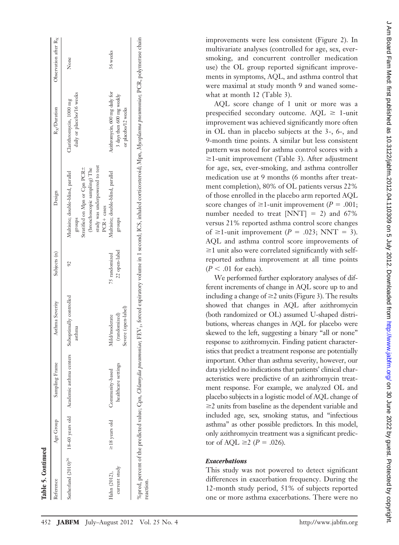| Reference                     | Age Group           | Sampling Frame                                                          | Asthma Severity                                      | Subjects (n)                   | Design                                                                                                                                                | R <sub>x</sub> /Duration                                                           | Observation after $R_X$ |
|-------------------------------|---------------------|-------------------------------------------------------------------------|------------------------------------------------------|--------------------------------|-------------------------------------------------------------------------------------------------------------------------------------------------------|------------------------------------------------------------------------------------|-------------------------|
|                               |                     | Sutherland (2010) <sup>26</sup> 18-60 years old Academic asthma centers | Suboptimally controlled<br>asthma                    | $\overline{6}$                 | study was underpowered to test<br>Stratified on Mpn or Cpn PCR±<br>(bronchoscopic sampling) The<br>Multisite; double-blind, parallel<br><b>groups</b> | daily or placebo/16 weeks<br>Clarithromycin, 1000 mg                               | None                    |
| current study<br>Hahn (2012), | $\geq$ 18 years old | healthcare settings<br>Community-based                                  | Severe (open-label)<br>(randomized)<br>Mild/moderate | 22 open-label<br>75 randomized | Multisite; double-blind, parallel<br>$PCR + cases$<br><b>groups</b>                                                                                   | Azithromycin, 600 mg daily for<br>3 days then 600 mg weekly<br>or placebo/12 weeks | 36 weeks                |

improvements were less consistent (Figure 2). In multivariate analyses (controlled for age, sex, eversmoking, and concurrent controller medication use) the OL group reported significant improvements in symptoms, AQL, and asthma control that were maximal at study month 9 and waned somewhat at month 12 (Table 3).

AQL score change of 1 unit or more was a prespecified secondary outcome.  $AQL \ge 1$ -unit improvement was achieved significantly more often in OL than in placebo subjects at the 3-, 6-, and 9-month time points. A similar but less consistent pattern was noted for asthma control scores with a  $\geq$ 1-unit improvement (Table 3). After adjustment for age, sex, ever-smoking, and asthma controller medication use at 9 months (6 months after treatment completion), 80% of OL patients versus 22% of those enrolled in the placebo arm reported AQL score changes of  $\geq$ 1-unit improvement (*P* = .001; number needed to treat  $[NNT] = 2$ ) and 67% versus 21% reported asthma control score changes of  $\geq$ 1-unit improvement (*P* = .023; NNT = 3). AQL and asthma control score improvements of  $\geq$ 1 unit also were correlated significantly with selfreported asthma improvement at all time points  $(P < .01$  for each).

We performed further exploratory analyses of different increments of change in AQL score up to and including a change of  $\geq$  2 units (Figure 3). The results showed that changes in AQL after azithromycin (both randomized or OL) assumed U-shaped distributions, whereas changes in AQL for placebo were skewed to the left, suggesting a binary "all or none" response to azithromycin. Finding patient characteristics that predict a treatment response are potentially important. Other than asthma severity, however, our data yielded no indications that patients' clinical characteristics were predictive of an azithromycin treatment response. For example, we analyzed OL and placebo subjects in a logistic model of AQL change of  $\geq$  2 units from baseline as the dependent variable and included age, sex, smoking status, and "infectious asthma" as other possible predictors. In this model, only azithromycin treatment was a significant predictor of AQL  $\geq 2$  (*P* = .026).

#### *Exacerbations*

This study was not powered to detect significant differences in exacerbation frequency. During the 12-month study period, 51% of subjects reported one or more asthma exacerbations. There were no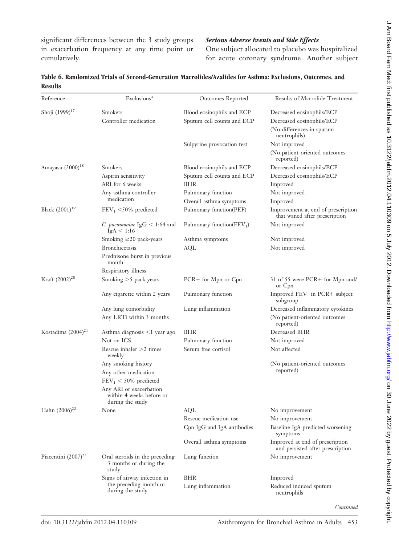significant differences between the 3 study groups in exacerbation frequency at any time point or cumulatively.

## *Serious Adverse Events and Side Effects*

One subject allocated to placebo was hospitalized for acute coronary syndrome. Another subject

| Table 6. Randomized Trials of Second-Generation Macrolides/Azalides for Asthma: Exclusions, Outcomes, and |  |  |
|-----------------------------------------------------------------------------------------------------------|--|--|
| <b>Results</b>                                                                                            |  |  |

| Reference                    | Exclusions*                                                             | Outcomes Reported             | Results of Macrolide Treatment                                      |
|------------------------------|-------------------------------------------------------------------------|-------------------------------|---------------------------------------------------------------------|
| Shoji (1999) <sup>17</sup>   | Smokers                                                                 | Blood eosinophils and ECP     | Decreased eosinophils/ECP                                           |
|                              | Controller medication                                                   | Sputum cell counts and ECP    | Decreased eosinophils/ECP                                           |
|                              |                                                                         |                               | (No differences in sputum<br>neutrophils)                           |
|                              |                                                                         | Sulpyrine provocation test    | Not improved                                                        |
|                              |                                                                         |                               | (No patient-oriented outcomes<br>reported)                          |
| Amayasu (2000) <sup>18</sup> | Smokers                                                                 | Blood eosinophils and ECP     | Decreased eosinophils/ECP                                           |
|                              | Aspirin sensitivity                                                     | Sputum cell counts and ECP    | Decreased eosinophils/ECP                                           |
|                              | ARI for 6 weeks                                                         | BHR                           | Improved                                                            |
|                              | Any asthma controller                                                   | Pulmonary function            | Not improved                                                        |
|                              | medication                                                              | Overall asthma symptoms       | Improved                                                            |
| Black $(2001)^{19}$          | $FEV_1 < 50\%$ predicted                                                | Pulmonary function(PEF)       | Improvement at end of prescription<br>that waned after prescription |
|                              | <i>C. pneumoniae</i> IgG $< 1:64$ and<br>IgA < 1:16                     | Pulmonary function( $FEV_1$ ) | Not improved                                                        |
|                              | Smoking $\geq$ 20 pack-years                                            | Asthma symptoms               | Not improved                                                        |
|                              | <b>Bronchiectasis</b>                                                   | AQL                           | Not improved                                                        |
|                              | Prednisone burst in previous<br>month                                   |                               |                                                                     |
|                              | Respiratory illness                                                     |                               |                                                                     |
| Kraft (2002) <sup>20</sup>   | Smoking $>5$ pack years                                                 | $PCR+$ for Mpn or $Cpn$       | 31 of 55 were PCR+ for Mpn and/<br>or Cpn                           |
|                              | Any cigarette within 2 years                                            | Pulmonary function            | Improved $FEV_1$ in PCR+ subject<br>subgroup                        |
|                              | Any lung comorbidity                                                    | Lung inflammation             | Decreased inflammatory cytokines                                    |
|                              | Any LRTi within 3 months                                                |                               | (No patient-oriented outcomes<br>reported)                          |
| Kostadima $(2004)^{21}$      | Asthma diagnosis <1 year ago                                            | BHR                           | Decreased BHR                                                       |
|                              | Not on ICS                                                              | Pulmonary function            | Not improved                                                        |
|                              | Rescue inhaler $>2$ times<br>weekly                                     | Serum free cortisol           | Not affected                                                        |
|                              | Any smoking history                                                     |                               | (No patient-oriented outcomes                                       |
|                              | Any other medication                                                    |                               | reported)                                                           |
|                              | $FEV1 < 50%$ predicted                                                  |                               |                                                                     |
|                              | Any ARI or exacerbation<br>within 4 weeks before or<br>during the study |                               |                                                                     |
| Hahn $(2006)^{22}$           | None                                                                    | AQL                           | No improvement                                                      |
|                              |                                                                         | Rescue medication use         | No improvement                                                      |
|                              |                                                                         | Cpn IgG and IgA antibodies    | Baseline IgA predicted worsening<br>symptoms                        |
|                              |                                                                         | Overall asthma symptoms       | Improved at end of prescription<br>and persisted after prescription |
| Piacentini $(2007)^{23}$     | Oral steroids in the preceding<br>3 months or during the<br>study       | Lung function                 | No improvement                                                      |
|                              | Signs of airway infection in                                            | <b>BHR</b>                    | Improved                                                            |
|                              | the preceding month or<br>during the study                              | Lung inflammation             | Reduced induced sputum<br>neutrophils                               |

*Continued*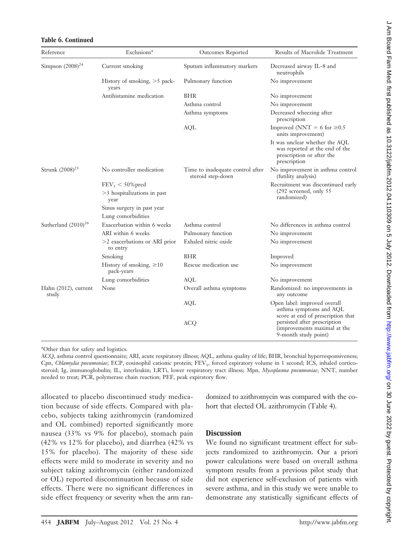| Reference                     | Exclusions*                                                  | Outcomes Reported                                     | Results of Macrolide Treatment                                                                                |
|-------------------------------|--------------------------------------------------------------|-------------------------------------------------------|---------------------------------------------------------------------------------------------------------------|
| Simpson $(2008)^{24}$         | Current smoking                                              | Sputum inflammatory markers                           | Decreased airway IL-8 and<br>neutrophils                                                                      |
|                               | History of smoking, $>5$ pack-<br>years                      | Pulmonary function                                    | No improvement                                                                                                |
|                               | Antihistamine medication                                     | <b>BHR</b>                                            | No improvement                                                                                                |
|                               |                                                              | Asthma control                                        | No improvement                                                                                                |
|                               |                                                              | Asthma symptoms                                       | Decreased wheezing after<br>prescription                                                                      |
|                               |                                                              | AQL                                                   | Improved (NNT = 6 for $\geq 0.5$<br>units improvement)                                                        |
|                               |                                                              |                                                       | It was unclear whether the AQL<br>was reported at the end of the<br>prescription or after the<br>prescription |
| Strunk $(2008)^{25}$          | No controller medication                                     | Time to inadequate control after<br>steroid step-down | No improvement in asthma control<br>(futility analysis)                                                       |
|                               | $FEV_1 < 50\%$ pred<br>$>3$ hospitalizations in past<br>year |                                                       | Recruitment was discontinued early<br>$(292$ screened, only 55<br>randomized)                                 |
|                               | Sinus surgery in past year                                   |                                                       |                                                                                                               |
|                               | Lung comorbidities                                           |                                                       |                                                                                                               |
| Sutherland $(2010)^{26}$      | Exacerbation within 6 weeks                                  | Asthma control                                        | No differences in asthma control                                                                              |
|                               | ARI within 6 weeks                                           | Pulmonary function                                    | No improvement                                                                                                |
|                               | $>2$ exacerbations or ARI prior<br>to entry                  | Exhaled nitric oxide                                  | No improvement                                                                                                |
|                               | Smoking                                                      | <b>BHR</b>                                            | Improved                                                                                                      |
|                               | History of smoking, $\geq 10$<br>pack-years                  | Rescue medication use                                 | No improvement                                                                                                |
|                               | Lung comorbidities                                           | AQL                                                   | No improvement                                                                                                |
| Hahn (2012), current<br>study | None                                                         | Overall asthma symptoms                               | Randomized: no improvements in<br>any outcome                                                                 |
|                               |                                                              | <b>AQL</b>                                            | Open label: improved overall<br>asthma symptoms and AQL<br>score at end of prescription that                  |
|                               |                                                              | <b>ACQ</b>                                            | persisted after prescription<br>(improvements maximal at the<br>9-month study point)                          |

# **Table 6. Continued**

\*Other than for safety and logistics.

ACQ, asthma control questionnaire; ARI, acute respiratory illness; AQL, asthma quality of life; BHR, bronchial hyperresponsiveness; Cpn, *Chlamydia pneumoniae*; ECP, eosinophil cationic protein; FEV<sub>1</sub>, forced expiratory volume in 1 second; ICS, inhaled corticosteroid; Ig, immunoglobulin; IL, interleukin; LRTi, lower respiratory tract illness; Mpn, *Mycoplasma pneumoniae*; NNT, number needed to treat; PCR, polymerase chain reaction; PEF, peak expiratory flow.

allocated to placebo discontinued study medication because of side effects. Compared with placebo, subjects taking azithromycin (randomized and OL combined) reported significantly more nausea (33% vs 9% for placebo), stomach pain (42% vs 12% for placebo), and diarrhea (42% vs 15% for placebo). The majority of these side effects were mild to moderate in severity and no subject taking azithromycin (either randomized or OL) reported discontinuation because of side effects. There were no significant differences in side effect frequency or severity when the arm randomized to azithromycin was compared with the cohort that elected OL azithromycin (Table 4).

# **Discussion**

We found no significant treatment effect for subjects randomized to azithromycin. Our a priori power calculations were based on overall asthma symptom results from a previous pilot study that did not experience self-exclusion of patients with severe asthma, and in this study we were unable to demonstrate any statistically significant effects of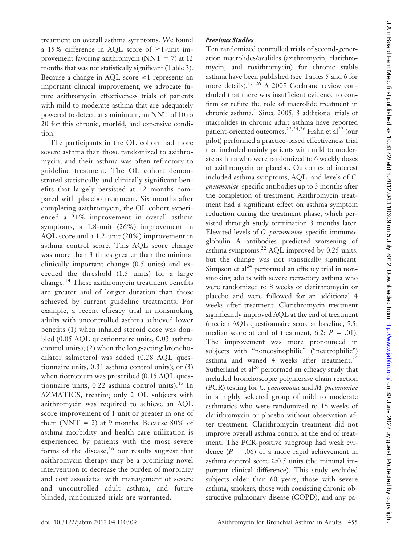treatment on overall asthma symptoms. We found a 15% difference in AQL score of  $\geq$ 1-unit improvement favoring azithromycin (NNT  $=$  7) at 12 months that was not statistically significant (Table 3). Because a change in AQL score  $\geq 1$  represents an important clinical improvement, we advocate future azithromycin effectiveness trials of patients with mild to moderate asthma that are adequately powered to detect, at a minimum, an NNT of 10 to 20 for this chronic, morbid, and expensive condition.

The participants in the OL cohort had more severe asthma than those randomized to azithromycin, and their asthma was often refractory to guideline treatment. The OL cohort demonstrated statistically and clinically significant benefits that largely persisted at 12 months compared with placebo treatment. Six months after completing azithromycin, the OL cohort experienced a 21% improvement in overall asthma symptoms, a 1.8-unit (26%) improvement in AQL score and a 1.2-unit (20%) improvement in asthma control score. This AQL score change was more than 3 times greater than the minimal clinically important change (0.5 units) and exceeded the threshold (1.5 units) for a large change.<sup>14</sup> These azithromycin treatment benefits are greater and of longer duration than those achieved by current guideline treatments. For example, a recent efficacy trial in nonsmoking adults with uncontrolled asthma achieved lower benefits (1) when inhaled steroid dose was doubled (0.05 AQL questionnaire units, 0.03 asthma control units); (2) when the long-acting bronchodilator salmeterol was added (0.28 AQL questionnaire units, 0.31 asthma control units); or (3) when tiotropium was prescribed (0.15 AQL questionnaire units,  $0.22$  asthma control units).<sup>15</sup> In AZMATICS, treating only 2 OL subjects with azithromycin was required to achieve an AQL score improvement of 1 unit or greater in one of them (NNT  $= 2$ ) at 9 months. Because 80% of asthma morbidity and health care utilization is experienced by patients with the most severe forms of the disease,<sup>16</sup> our results suggest that azithromycin therapy may be a promising novel intervention to decrease the burden of morbidity and cost associated with management of severe and uncontrolled adult asthma, and future blinded, randomized trials are warranted.

#### *Previous Studies*

Ten randomized controlled trials of second-generation macrolides/azalides (azithromycin, clarithromycin, and roxithromycin) for chronic stable asthma have been published (see Tables 5 and 6 for more details).<sup>17-26</sup> A 2005 Cochrane review concluded that there was insufficient evidence to confirm or refute the role of macrolide treatment in chronic asthma. $<sup>1</sup>$  Since 2005, 3 additional trials of</sup> macrolides in chronic adult asthma have reported patient-oriented outcomes.<sup>22,24,26</sup> Hahn et al<sup>22</sup> (our pilot) performed a practice-based effectiveness trial that included mainly patients with mild to moderate asthma who were randomized to 6 weekly doses of azithromycin or placebo. Outcomes of interest included asthma symptoms, AQL, and levels of *C. pneumoniae*–specific antibodies up to 3 months after the completion of treatment. Azithromycin treatment had a significant effect on asthma symptom reduction during the treatment phase, which persisted through study termination 3 months later. Elevated levels of *C. pneumoniae*–specific immunoglobulin A antibodies predicted worsening of asthma symptoms.<sup>22</sup> AQL improved by 0.25 units, but the change was not statistically significant. Simpson et  $al^{24}$  performed an efficacy trial in nonsmoking adults with severe refractory asthma who were randomized to 8 weeks of clarithromycin or placebo and were followed for an additional 4 weeks after treatment. Clarithromycin treatment significantly improved AQL at the end of treatment (median AQL questionnaire score at baseline, 5.5; median score at end of treatment, 6.2;  $P = .01$ ). The improvement was more pronounced in subjects with "noneosinophilic" ("neutrophilic") asthma and waned 4 weeks after treatment.<sup>24</sup> Sutherland et al<sup>26</sup> performed an efficacy study that included bronchoscopic polymerase chain reaction (PCR) testing for *C. pneumoniae* and *M. pneumoniae* in a highly selected group of mild to moderate asthmatics who were randomized to 16 weeks of clarithromycin or placebo without observation after treatment. Clarithromycin treatment did not improve overall asthma control at the end of treatment. The PCR-positive subgroup had weak evidence  $(P = .06)$  of a more rapid achievement in asthma control score  $\geq 0.5$  units (the minimal important clinical difference). This study excluded subjects older than 60 years, those with severe asthma, smokers, those with coexisting chronic obstructive pulmonary disease (COPD), and any pa-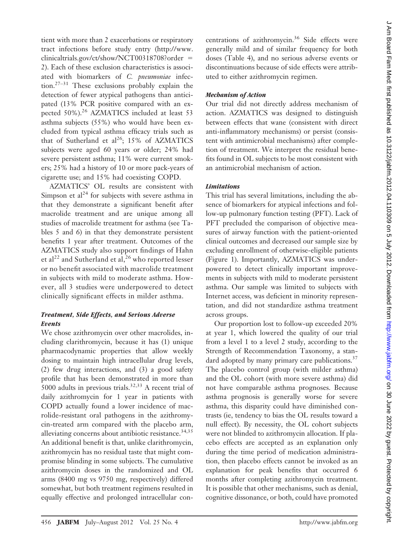tient with more than 2 exacerbations or respiratory tract infections before study entry (http://www. clinicaltrials.gov/ct/show/NCT00318708?order 2). Each of these exclusion characteristics is associated with biomarkers of *C. pneumoniae* infection.27–31 These exclusions probably explain the detection of fewer atypical pathogens than anticipated (13% PCR positive compared with an expected 50%).<sup>26</sup> AZMATICS included at least 53 asthma subjects (55%) who would have been excluded from typical asthma efficacy trials such as that of Sutherland et al<sup>26</sup>; 15% of AZMATICS subjects were aged 60 years or older; 24% had severe persistent asthma; 11% were current smokers; 25% had a history of 10 or more pack-years of cigarette use; and 15% had coexisting COPD.

AZMATICS' OL results are consistent with Simpson et  $al^{24}$  for subjects with severe asthma in that they demonstrate a significant benefit after macrolide treatment and are unique among all studies of macrolide treatment for asthma (see Tables 5 and 6) in that they demonstrate persistent benefits 1 year after treatment. Outcomes of the AZMATICS study also support findings of Hahn et al<sup>22</sup> and Sutherland et al,<sup>26</sup> who reported lesser or no benefit associated with macrolide treatment in subjects with mild to moderate asthma. However, all 3 studies were underpowered to detect clinically significant effects in milder asthma.

## *Treatment, Side Effects, and Serious Adverse Events*

We chose azithromycin over other macrolides, including clarithromycin, because it has (1) unique pharmacodynamic properties that allow weekly dosing to maintain high intracellular drug levels, (2) few drug interactions, and (3) a good safety profile that has been demonstrated in more than 5000 adults in previous trials. $32,33$  A recent trial of daily azithromycin for 1 year in patients with COPD actually found a lower incidence of macrolide-resistant oral pathogens in the azithromycin-treated arm compared with the placebo arm, alleviating concerns about antibiotic resistance.<sup>34,35</sup> An additional benefit is that, unlike clarithromycin, azithromycin has no residual taste that might compromise blinding in some subjects. The cumulative azithromycin doses in the randomized and OL arms (8400 mg vs 9750 mg, respectively) differed somewhat, but both treatment regimens resulted in equally effective and prolonged intracellular concentrations of azithromycin.<sup>36</sup> Side effects were generally mild and of similar frequency for both doses (Table 4), and no serious adverse events or discontinuations because of side effects were attributed to either azithromycin regimen.

## *Mechanism of Action*

Our trial did not directly address mechanism of action. AZMATICS was designed to distinguish between effects that wane (consistent with direct anti-inflammatory mechanisms) or persist (consistent with antimicrobial mechanisms) after completion of treatment. We interpret the residual benefits found in OL subjects to be most consistent with an antimicrobial mechanism of action.

## *Limitations*

This trial has several limitations, including the absence of biomarkers for atypical infections and follow-up pulmonary function testing (PFT). Lack of PFT precluded the comparison of objective measures of airway function with the patient-oriented clinical outcomes and decreased our sample size by excluding enrollment of otherwise-eligible patients (Figure 1). Importantly, AZMATICS was underpowered to detect clinically important improvements in subjects with mild to moderate persistent asthma. Our sample was limited to subjects with Internet access, was deficient in minority representation, and did not standardize asthma treatment across groups.

Our proportion lost to follow-up exceeded 20% at year 1, which lowered the quality of our trial from a level 1 to a level 2 study, according to the Strength of Recommendation Taxonomy, a standard adopted by many primary care publications.<sup>37</sup> The placebo control group (with milder asthma) and the OL cohort (with more severe asthma) did not have comparable asthma prognoses. Because asthma prognosis is generally worse for severe asthma, this disparity could have diminished contrasts (ie, tendency to bias the OL results toward a null effect). By necessity, the OL cohort subjects were not blinded to azithromycin allocation. If placebo effects are accepted as an explanation only during the time period of medication administration, then placebo effects cannot be invoked as an explanation for peak benefits that occurred 6 months after completing azithromycin treatment. It is possible that other mechanisms, such as denial, cognitive dissonance, or both, could have promoted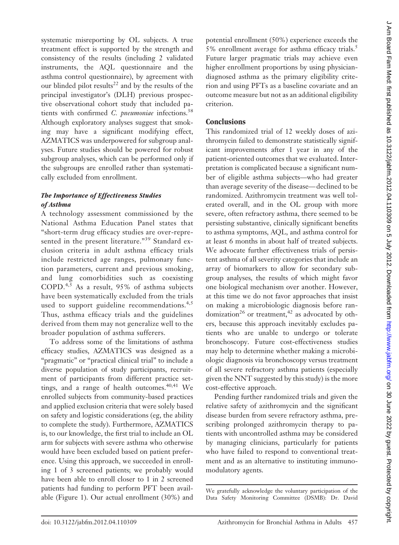systematic misreporting by OL subjects. A true treatment effect is supported by the strength and consistency of the results (including 2 validated instruments, the AQL questionnaire and the asthma control questionnaire), by agreement with our blinded pilot results<sup>22</sup> and by the results of the principal investigator's (DLH) previous prospective observational cohort study that included patients with confirmed *C. pneumoniae* infections.38 Although exploratory analyses suggest that smoking may have a significant modifying effect, AZMATICS was underpowered for subgroup analyses. Future studies should be powered for robust subgroup analyses, which can be performed only if the subgroups are enrolled rather than systematically excluded from enrollment.

## *The Importance of Effectiveness Studies of Asthma*

A technology assessment commissioned by the National Asthma Education Panel states that "short-term drug efficacy studies are over-represented in the present literature."<sup>39</sup> Standard exclusion criteria in adult asthma efficacy trials include restricted age ranges, pulmonary function parameters, current and previous smoking, and lung comorbidities such as coexisting COPD.4,5 As a result, 95% of asthma subjects have been systematically excluded from the trials used to support guideline recommendations.<sup>4,5</sup> Thus, asthma efficacy trials and the guidelines derived from them may not generalize well to the broader population of asthma sufferers.

To address some of the limitations of asthma efficacy studies, AZMATICS was designed as a "pragmatic" or "practical clinical trial" to include a diverse population of study participants, recruitment of participants from different practice settings, and a range of health outcomes.<sup>40,41</sup> We enrolled subjects from community-based practices and applied exclusion criteria that were solely based on safety and logistic considerations (eg, the ability to complete the study). Furthermore, AZMATICS is, to our knowledge, the first trial to include an OL arm for subjects with severe asthma who otherwise would have been excluded based on patient preference. Using this approach, we succeeded in enrolling 1 of 3 screened patients; we probably would have been able to enroll closer to 1 in 2 screened patients had funding to perform PFT been available (Figure 1). Our actual enrollment (30%) and potential enrollment (50%) experience exceeds the 5% enrollment average for asthma efficacy trials.<sup>5</sup> Future larger pragmatic trials may achieve even higher enrollment proportions by using physiciandiagnosed asthma as the primary eligibility criterion and using PFTs as a baseline covariate and an outcome measure but not as an additional eligibility criterion.

# **Conclusions**

This randomized trial of 12 weekly doses of azithromycin failed to demonstrate statistically significant improvements after 1 year in any of the patient-oriented outcomes that we evaluated. Interpretation is complicated because a significant number of eligible asthma subjects—who had greater than average severity of the disease— declined to be randomized. Azithromycin treatment was well tolerated overall, and in the OL group with more severe, often refractory asthma, there seemed to be persisting substantive, clinically significant benefits to asthma symptoms, AQL, and asthma control for at least 6 months in about half of treated subjects. We advocate further effectiveness trials of persistent asthma of all severity categories that include an array of biomarkers to allow for secondary subgroup analyses, the results of which might favor one biological mechanism over another. However, at this time we do not favor approaches that insist on making a microbiologic diagnosis before randomization<sup>26</sup> or treatment,<sup>42</sup> as advocated by others, because this approach inevitably excludes patients who are unable to undergo or tolerate bronchoscopy. Future cost-effectiveness studies may help to determine whether making a microbiologic diagnosis via bronchoscopy versus treatment of all severe refractory asthma patients (especially given the NNT suggested by this study) is the more cost-effective approach.

Pending further randomized trials and given the relative safety of azithromycin and the significant disease burden from severe refractory asthma, prescribing prolonged azithromycin therapy to patients with uncontrolled asthma may be considered by managing clinicians, particularly for patients who have failed to respond to conventional treatment and as an alternative to instituting immunomodulatory agents.

We gratefully acknowledge the voluntary participation of the Data Safety Monitoring Committee (DSMB): Dr. David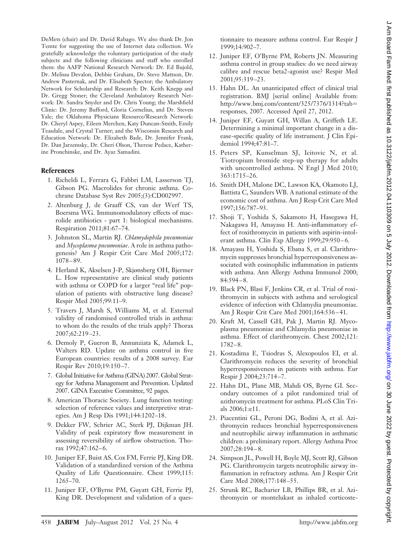DeMets (chair) and Dr. David Rabago. We also thank Dr. Jon Temte for suggesting the use of Internet data collection. We gratefully acknowledge the voluntary participation of the study subjects and the following clinicians and staff who enrolled them: the AAFP National Research Network: Dr. Ed Bujold, Dr. Melissa Devalon, Debbie Graham, Dr. Steve Mattson, Dr. Andrew Pasternak, and Dr. Elisabeth Spector; the Ambulatory Network for Scholarship and Research: Dr. Keith Knepp and Dr. Gregg Stoner; the Cleveland Ambulatory Research Network: Dr. Sandra Snyder and Dr. Chris Young; the Marshfield Clinic: Dr. Jeremy Bufford, Gloria Cornelius, and Dr. Steven Yale; the Oklahoma Physicians Resource/Research Network: Dr. Cheryl Aspey, Eileen Merchen, Katy Duncan-Smith, Emily Teasdale, and Crystal Turner; and the Wisconsin Research and Education Network: Dr. Elizabeth Bade, Dr. Jennifer Frank, Dr. Dan Jarzemsky, Dr. Cheri Olson, Therese Pedace, Katherine Pronchinske, and Dr. Ayaz Samadini.

#### **References**

- 1. Richeldi L, Ferrara G, Fabbri LM, Lasserson TJ, Gibson PG. Macrolides for chronic asthma. Cochrane Database Syst Rev 2005;(3):CD002997.
- 2. Altenburg J, de Graaff CS, van der Werf TS, Boersma WG. Immunomodulatory effects of macrolide antibiotics - part 1: biological mechanisms. Respiration 2011;81:67–74.
- 3. Johnston SL, Martin RJ. *Chlamydophila pneumoniae* and *Mycoplasma pneumoniae*. A role in asthma pathogenesis? Am J Respir Crit Care Med 2005;172: 1078 – 89.
- 4. Herland K, Akselsen J-P, Skjønsberg OH, Bjermer L. How representative are clinical study patients with asthma or COPD for a larger "real life" population of patients with obstructive lung disease? Respir Med 2005;99:11–9.
- 5. Travers J, Marsh S, Williams M, et al. External validity of randomised controlled trials in asthma: to whom do the results of the trials apply? Thorax 2007;62:219 –23.
- 6. Demoly P, Gueron B, Annunziata K, Adamek L, Walters RD. Update on asthma control in five European countries: results of a 2008 survey. Eur Respir Rev 2010;19:150 –7.
- 7. Global Initiative for Asthma (GINA) 2007. Global Strategy for Asthma Management and Prevention. Updated 2007. GINA Executive Committee, 92 pages.
- 8. American Thoracic Society. Lung function testing: selection of reference values and interpretive strategies. Am J Resp Dis 1991;144:1202–18.
- 9. Dekker FW, Schrier AC, Sterk PJ, Dijkman JH. Validity of peak expiratory flow measurement in assessing reversibility of airflow obstruction. Thorax 1992;47:162-6.
- 10. Juniper EF, Buist AS, Cox FM, Ferrie PJ, King DR. Validation of a standardized version of the Asthma Quality of Life Questionnaire. Chest 1999;115: 1265–70.
- 11. Juniper EF, O'Byrne PM, Guyatt GH, Ferrie PJ, King DR. Development and validation of a ques-

tionnaire to measure asthma control. Eur Respir J 1999;14:902–7.

- 12. Juniper EF, O'Byrne PM, Roberts JN. Measuring asthma control in group studies: do we need airway calibre and rescue beta2-agonist use? Respir Med 2001;95:319 –23.
- 13. Hahn DL. An unanticipated effect of clinical trial registration. BMJ [serial online] Available from: http://www.bmj.com/content/325/7376/1314?tab responses, 2007. Accessed April 27, 2012.
- 14. Juniper EF, Guyatt GH, Willan A, Griffeth LE. Determining a minimal important change in a disease-specific quality of life instrument. J Clin Epidemiol 1994;47:81–7.
- 15. Peters SP, Kunselman SJ, Icitovic N, et al. Tiotropium bromide step-up therapy for adults with uncontrolled asthma. N Engl J Med 2010; 363:1715–26.
- 16. Smith DH, Malone DC, Lawson KA, Okamoto LJ, Battista C, Saunders WB. A national estimate of the economic cost of asthma. Am J Resp Crit Care Med 1997;156:787–93.
- 17. Shoji T, Yoshida S, Sakamoto H, Hasegawa H, Nakagawa H, Amayasu H. Anti-inflammatory effect of roxithromycin in patients with aspirin-intolerant asthma. Clin Exp Allergy 1999;29:950-6.
- 18. Amayasu H, Yoshida S, Ebana S, et al. Clarithromycin suppresses bronchial hyperresponsiveness associated with eosinophilic inflammation in patients with asthma. Ann Allergy Asthma Immunol 2000; 84:594 – 8.
- 19. Black PN, Blasi F, Jenkins CR, et al. Trial of roxithromycin in subjects with asthma and serological evidence of infection with Chlamydia pneumoniae. Am J Respir Crit Care Med 2001;164:536 – 41.
- 20. Kraft M, Cassell GH, Pak J, Martin RJ. Mycoplasma pneumoniae and Chlamydia pneumoniae in asthma. Effect of clarithromycin. Chest 2002;121: 1782– 8.
- 21. Kostadima E, Tsiodras S, Alexopoulos EI, et al. Clarithromycin reduces the severity of bronchial hyperresponsiveness in patients with asthma. Eur Respir J 2004;23:714 –7.
- 22. Hahn DL, Plane MB, Mahdi OS, Byrne GI. Secondary outcomes of a pilot randomized trial of azithromycin treatment for asthma. PLoS Clin Trials 2006;1:e11.
- 23. Piacentini GL, Peroni DG, Bodini A, et al. Azithromycin reduces bronchial hyperresponsiveness and neutrophilic airway inflammation in asthmatic children: a preliminary report. Allergy Asthma Proc 2007;28:194 – 8.
- 24. Simpson JL, Powell H, Boyle MJ, Scott RJ, Gibson PG. Clarithromycin targets neutrophilic airway inflammation in refractory asthma. Am J Respir Crit Care Med 2008;177:148 –55.
- 25. Strunk RC, Bacharier LB, Phillips BR, et al. Azithromycin or montelukast as inhaled corticoste-